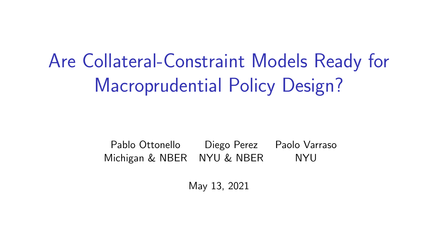Are Collateral-Constraint Models Ready for Macroprudential Policy Design?

> Pablo Ottonello Diego Perez Paolo Varraso Michigan & NBER NYU & NBER NYU

> > May 13, 2021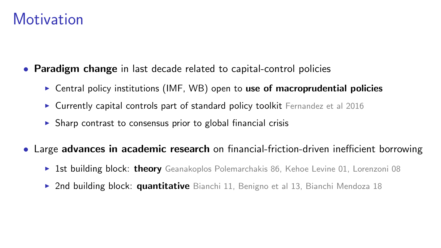#### **Motivation**

- Paradigm change in last decade related to capital-control policies
	- **EXECUTE:** Central policy institutions (IMF, WB) open to use of macroprudential policies
	- $\triangleright$  Currently capital controls part of standard policy toolkit Fernandez et al 2016
	- $\triangleright$  Sharp contrast to consensus prior to global financial crisis
- Large advances in academic research on financial-friction-driven inefficient borrowing
	- $\triangleright$  1st building block: theory Geanakoplos Polemarchakis 86, Kehoe Levine 01, Lorenzoni 08
	- $\triangleright$  2nd building block: quantitative Bianchi 11, Benigno et al 13, Bianchi Mendoza 18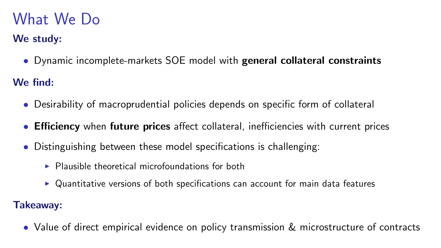# What We Do

#### We study:

• Dynamic incomplete-markets SOE model with general collateral constraints

We find:

- Desirability of macroprudential policies depends on specific form of collateral
- Efficiency when future prices affect collateral, inefficiencies with current prices
- Distinguishing between these model specifications is challenging:
	- $\triangleright$  Plausible theoretical microfoundations for both
	- $\triangleright$  Quantitative versions of both specifications can account for main data features

#### Takeaway:

• Value of direct empirical evidence on policy transmission & microstructure of contracts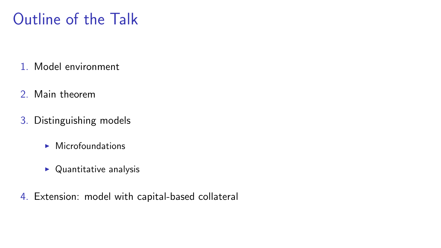# Outline of the Talk

- 1. Model environment
- 2. Main theorem
- 3. Distinguishing models
	- $\blacktriangleright$  Microfoundations
	- $\blacktriangleright$  Quantitative analysis
- 4. Extension: model with capital-based collateral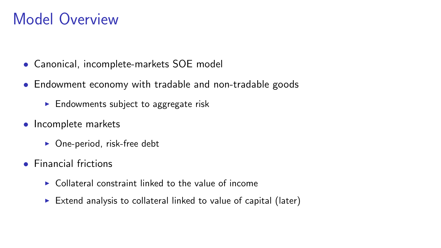### Model Overview

- Canonical, incomplete-markets SOE model
- Endowment economy with tradable and non-tradable goods
	- $\blacktriangleright$  Endowments subject to aggregate risk
- Incomplete markets
	- $\triangleright$  One-period, risk-free debt
- Financial frictions
	- $\triangleright$  Collateral constraint linked to the value of income
	- $\triangleright$  Extend analysis to collateral linked to value of capital (later)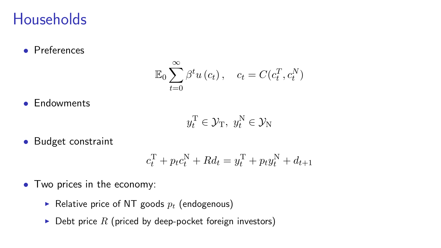#### **Households**

• Preferences

$$
\mathbb{E}_0 \sum_{t=0}^{\infty} \beta^t u(c_t), \quad c_t = C(c_t^T, c_t^N)
$$

• Endowments

$$
y_t^{\mathrm{T}} \in \mathcal{Y}_{\mathrm{T}}, \ y_t^{\mathrm{N}} \in \mathcal{Y}_{\mathrm{N}}
$$

• Budget constraint

$$
c_t^{\mathrm{T}} + p_t c_t^{\mathrm{N}} + R d_t = y_t^{\mathrm{T}} + p_t y_t^{\mathrm{N}} + d_{t+1}
$$

- Two prices in the economy:
	- Relative price of NT goods  $p_t$  (endogenous)
	- $\triangleright$  Debt price R (priced by deep-pocket foreign investors)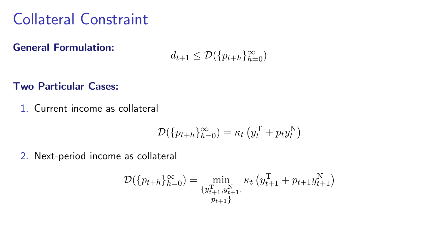# Collateral Constraint

General Formulation:

$$
d_{t+1} \le \mathcal{D}(\{p_{t+h}\}_{h=0}^{\infty})
$$

Two Particular Cases:

1. Current income as collateral

$$
\mathcal{D}(\{p_{t+h}\}_{h=0}^{\infty}) = \kappa_t \left(y_t^{\mathrm{T}} + p_t y_t^{\mathrm{N}}\right)
$$

2. Next-period income as collateral

$$
\mathcal{D}(\{p_{t+h}\}_{h=0}^{\infty}) = \min_{\substack{\{y_{t+1}^{\mathrm{T}}, y_{t+1}^{\mathrm{N}},\\p_{t+1}\}}} \kappa_t\left(y_{t+1}^{\mathrm{T}} + p_{t+1}y_{t+1}^{\mathrm{N}}\right)
$$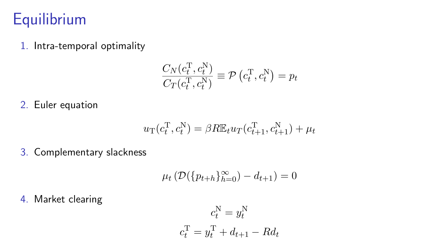### **Equilibrium**

1. Intra-temporal optimality

$$
\frac{C_N(c_t^{\mathrm{T}}, c_t^{\mathrm{N}})}{C_T(c_t^{\mathrm{T}}, c_t^{\mathrm{N}})} \equiv \mathcal{P}\left(c_t^{\mathrm{T}}, c_t^{\mathrm{N}}\right) = p_t
$$

2. Euler equation

$$
u_{\mathcal{T}}(c_t^{\mathcal{T}},c_t^{\mathcal{N}}) = \beta R \mathbb{E}_t u_{\mathcal{T}}(c_{t+1}^{\mathcal{T}},c_{t+1}^{\mathcal{N}}) + \mu_t
$$

3. Complementary slackness

$$
\mu_t\left(\mathcal{D}(\{p_{t+h}\}_{h=0}^{\infty}) - d_{t+1}\right) = 0
$$

4. Market clearing

$$
c_t^N = y_t^N
$$

$$
c_t^T = y_t^T + d_{t+1} - Rd_t
$$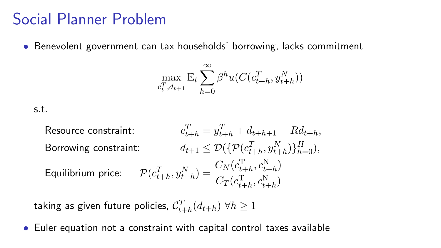#### Social Planner Problem

• Benevolent government can tax households' borrowing, lacks commitment

$$
\max_{c_t^T, d_{t+1}} \mathbb{E}_t \sum_{h=0}^{\infty} \beta^h u(C(c_{t+h}^T, y_{t+h}^N))
$$

s.t.

Resource constraint:

\n
$$
c_{t+h}^{T} = y_{t+h}^{T} + d_{t+h+1} - R d_{t+h},
$$
\nBorrowing constraint:

\n
$$
d_{t+1} \leq \mathcal{D}(\{\mathcal{P}(c_{t+h}^{T}, y_{t+h}^{N})\}_{h=0}^{H}),
$$
\nEquilibrium price:

\n
$$
\mathcal{P}(c_{t+h}^{T}, y_{t+h}^{N}) = \frac{C_{N}(c_{t+h}^{T}, c_{t+h}^{N})}{C_{T}(c_{t+h}^{T}, c_{t+h}^{N})}
$$

taking as given future policies,  $\mathcal{C}_{t+h}^T(d_{t+h})\;\forall h\geq 1$ 

• Euler equation not a constraint with capital control taxes available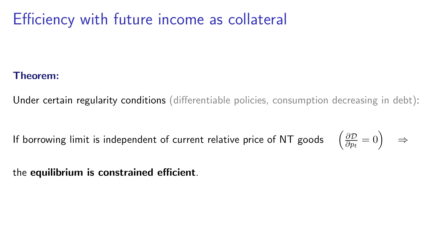# Efficiency with future income as collateral

#### Theorem:

Under certain regularity conditions (differentiable policies, consumption decreasing in debt):

If borrowing limit is independent of current relative price of NT goods ∂D  $\frac{\partial \mathcal{D}}{\partial p_t} = 0$   $\Rightarrow$ 

the equilibrium is constrained efficient.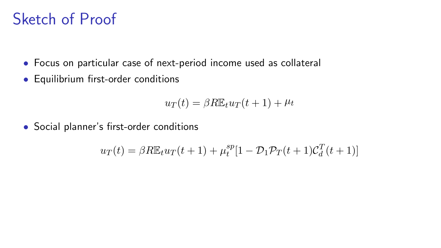# Sketch of Proof

- Focus on particular case of next-period income used as collateral
- Equilibrium first-order conditions

$$
u_T(t) = \beta R \mathbb{E}_t u_T(t+1) + \mu_t
$$

• Social planner's first-order conditions

$$
u_T(t) = \beta R \mathbb{E}_t u_T(t+1) + \mu_t^{sp} [1 - \mathcal{D}_1 \mathcal{P}_T(t+1) \mathcal{C}_d^T(t+1)]
$$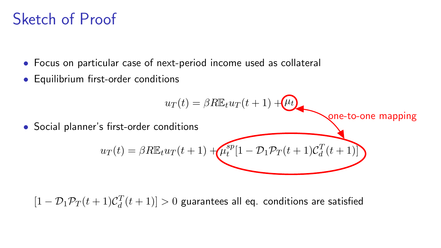# Sketch of Proof

- Focus on particular case of next-period income used as collateral
- Equilibrium first-order conditions

$$
u_T(t) = \beta R \mathbb{E}_t u_T(t+1) + \mu_t
$$
  
\n• Social planner's first-order conditions  
\n
$$
u_T(t) = \beta R \mathbb{E}_t u_T(t+1) + \mu_t^{sp} [1 - \mathcal{D}_1 \mathcal{P}_T(t+1) \mathcal{C}_d^T(t+1)]
$$

 $[1-\mathcal{D}_1\mathcal{P}_T(t+1)\mathcal{C}_d^T(t+1)]>0$  guarantees all eq. conditions are satisfied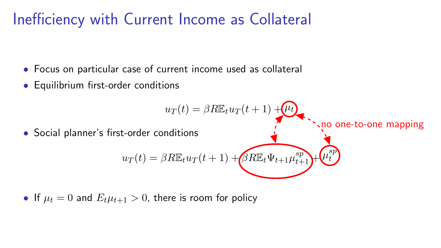### Inefficiency with Current Income as Collateral

- Focus on particular case of current income used as collateral
- Equilibrium first-order conditions

$$
u_T(t) = \beta R \mathbb{E}_t u_T(t+1) + \mu_t
$$
  
\n• Social planner's first-order conditions  
\n
$$
u_T(t) = \beta R \mathbb{E}_t u_T(t+1) + \beta R \mathbb{E}_t \Psi_{t+1} \mu_{t+1}^{sp} + \mu_t^{sp}
$$

• If 
$$
\mu_t = 0
$$
 and  $E_t \mu_{t+1} > 0$ , there is room for policy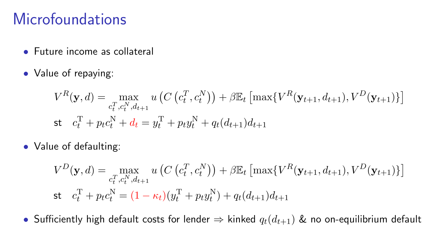### Microfoundations

- Future income as collateral
- Value of repaying:

$$
V^{R}(\mathbf{y}, d) = \max_{c_{t}^{T}, c_{t}^{N}, d_{t+1}} u\left(C\left(c_{t}^{T}, c_{t}^{N}\right)\right) + \beta \mathbb{E}_{t}\left[\max\{V^{R}(\mathbf{y}_{t+1}, d_{t+1}), V^{D}(\mathbf{y}_{t+1})\}\right]
$$
  
st  $c_{t}^{T} + p_{t}c_{t}^{N} + d_{t} = y_{t}^{T} + p_{t}y_{t}^{N} + q_{t}(d_{t+1})d_{t+1}$ 

• Value of defaulting:

$$
V^{D}(\mathbf{y}, d) = \max_{c_{t}^{T}, c_{t}^{N}, d_{t+1}} u\left(C\left(c_{t}^{T}, c_{t}^{N}\right)\right) + \beta \mathbb{E}_{t}\left[\max\{V^{R}(\mathbf{y}_{t+1}, d_{t+1}), V^{D}(\mathbf{y}_{t+1})\}\right]
$$
  
st  $c_{t}^{T} + p_{t}c_{t}^{N} = (1 - \kappa_{t})(y_{t}^{T} + p_{t}y_{t}^{N}) + q_{t}(d_{t+1})d_{t+1}$ 

• Sufficiently high default costs for lender  $\Rightarrow$  kinked  $q_t(d_{t+1})$  & no on-equilibrium default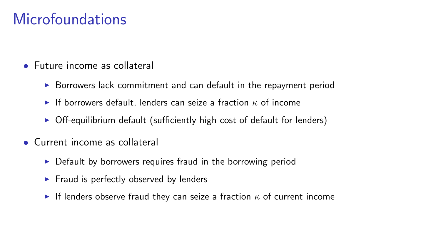# **Microfoundations**

- Future income as collateral
	- $\triangleright$  Borrowers lack commitment and can default in the repayment period
	- If borrowers default, lenders can seize a fraction  $\kappa$  of income
	- $\triangleright$  Off-equilibrium default (sufficiently high cost of default for lenders)
- Current income as collateral
	- $\triangleright$  Default by borrowers requires fraud in the borrowing period
	- $\blacktriangleright$  Fraud is perfectly observed by lenders
	- If lenders observe fraud they can seize a fraction  $\kappa$  of current income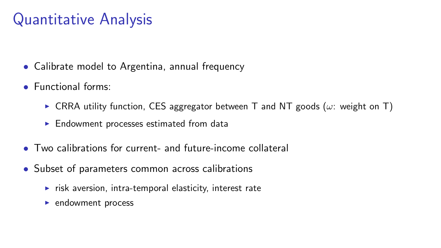# Quantitative Analysis

- Calibrate model to Argentina, annual frequency
- Functional forms:
	- **CRRA utility function, CES aggregator between T and NT goods (** $\omega$ **: weight on T)**
	- $\blacktriangleright$  Endowment processes estimated from data
- Two calibrations for current- and future-income collateral
- Subset of parameters common across calibrations
	- $\triangleright$  risk aversion, intra-temporal elasticity, interest rate
	- $\blacktriangleright$  endowment process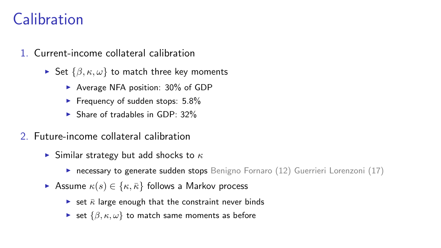# Calibration

- 1. Current-income collateral calibration
	- $\triangleright$  Set  $\{\beta, \kappa, \omega\}$  to match three key moments
		- $\blacktriangleright$  Average NFA position: 30% of GDP
		- Frequency of sudden stops:  $5.8\%$
		- $\triangleright$  Share of tradables in GDP: 32%
- 2. Future-income collateral calibration
	- $\triangleright$  Similar strategy but add shocks to  $\kappa$ 
		- **necessary to generate sudden stops** Benigno Fornaro  $(12)$  Guerrieri Lorenzoni  $(17)$
	- Assume  $\kappa(s) \in \{\kappa, \bar{\kappa}\}\)$  follows a Markov process
		- In set  $\bar{\kappa}$  large enough that the constraint never binds
		- $\triangleright$  set  $\{\beta, \kappa, \omega\}$  to match same moments as before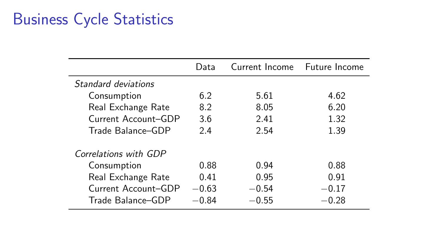# Business Cycle Statistics

|                       | Data    | Current Income Future Income |         |
|-----------------------|---------|------------------------------|---------|
| Standard deviations   |         |                              |         |
| Consumption           | 6.2     | 5.61                         | 4.62    |
| Real Exchange Rate    | 8.2     | 8.05                         | 6.20    |
| Current Account-GDP   | 3.6     | 2.41                         | 1.32    |
| Trade Balance-GDP     | 2.4     | 2.54                         | 1.39    |
| Correlations with GDP |         |                              |         |
| Consumption           | 0.88    | 0.94                         | 0.88    |
| Real Exchange Rate    | 0.41    | 0.95                         | 0.91    |
| Current Account-GDP   | $-0.63$ | $-0.54$                      | $-0.17$ |
| Trade Balance-GDP     | $-0.84$ | $-0.55$                      | 0.28    |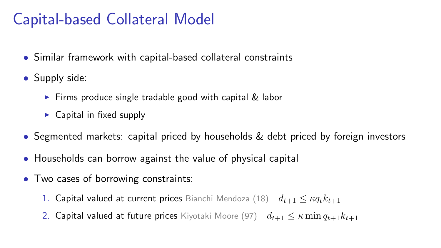# Capital-based Collateral Model

- Similar framework with capital-based collateral constraints
- Supply side:
	- $\triangleright$  Firms produce single tradable good with capital & labor
	- $\triangleright$  Capital in fixed supply
- Segmented markets: capital priced by households & debt priced by foreign investors
- Households can borrow against the value of physical capital
- Two cases of borrowing constraints:
	- 1. Capital valued at current prices Bianchi Mendoza (18)  $d_{t+1} \leq \kappa q_t k_{t+1}$
	- 2. Capital valued at future prices Kiyotaki Moore (97)  $d_{t+1} \leq \kappa \min q_{t+1} k_{t+1}$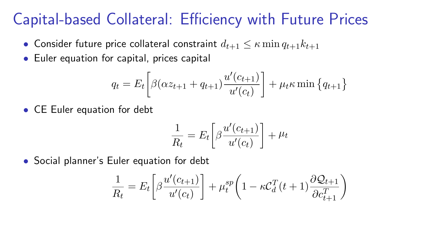### Capital-based Collateral: Efficiency with Future Prices

- Consider future price collateral constraint  $d_{t+1} \leq \kappa \min q_{t+1} k_{t+1}$
- Euler equation for capital, prices capital

$$
q_{t} = E_{t} \left[ \beta (\alpha z_{t+1} + q_{t+1}) \frac{u'(c_{t+1})}{u'(c_{t})} \right] + \mu_{t} \kappa \min \{ q_{t+1} \}
$$

• CE Euler equation for debt

$$
\frac{1}{R_t} = E_t \left[ \beta \frac{u'(c_{t+1})}{u'(c_t)} \right] + \mu_t
$$

• Social planner's Euler equation for debt

$$
\frac{1}{R_t} = E_t \left[ \beta \frac{u'(c_{t+1})}{u'(c_t)} \right] + \mu_t^{sp} \left( 1 - \kappa C_d^T(t+1) \frac{\partial Q_{t+1}}{\partial c_{t+1}^T} \right)
$$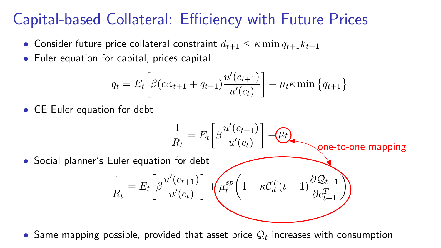# Capital-based Collateral: Efficiency with Future Prices

- Consider future price collateral constraint  $d_{t+1} \leq \kappa \min q_{t+1}k_{t+1}$
- Euler equation for capital, prices capital

$$
q_{t} = E_{t} \left[ \beta (\alpha z_{t+1} + q_{t+1}) \frac{u'(c_{t+1})}{u'(c_{t})} \right] + \mu_{t} \kappa \min \{ q_{t+1} \}
$$

• CE Euler equation for debt

$$
\frac{1}{R_t} = E_t \left[ \beta \frac{u'(c_{t+1})}{u'(c_t)} \right] + \underbrace{u_t}_{\text{one-to-one mapping}}
$$
\n• Social planner's Euler equation for debt\n
$$
\frac{1}{R_t} = E_t \left[ \beta \frac{u'(c_{t+1})}{u'(c_t)} \right] + \underbrace{u_t^{sp} \left( 1 - \kappa C_d^T(t+1) \frac{\partial Q_{t+1}}{\partial c_{t+1}^T} \right)}_{\text{one-to-one mapping}}
$$

 $\bullet$  Same mapping possible, provided that asset price  $\mathcal{Q}_t$  increases with consumption